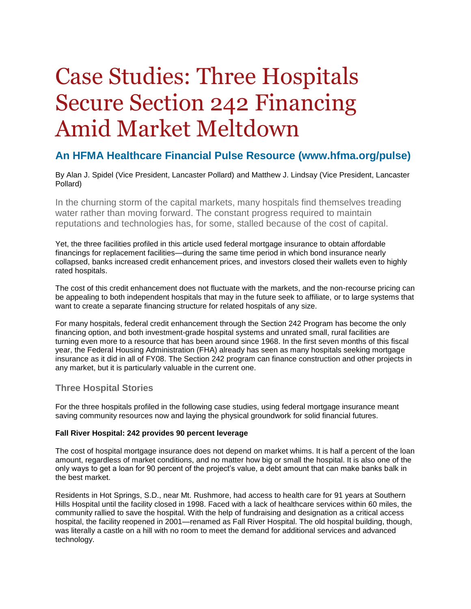# Case Studies: Three Hospitals Secure Section 242 Financing Amid Market Meltdown

## **An HFMA Healthcare Financial Pulse Resource (www.hfma.org/pulse)**

By Alan J. Spidel (Vice President, Lancaster Pollard) and Matthew J. Lindsay (Vice President, Lancaster Pollard)

In the churning storm of the capital markets, many hospitals find themselves treading water rather than moving forward. The constant progress required to maintain reputations and technologies has, for some, stalled because of the cost of capital.

Yet, the three facilities profiled in this article used federal mortgage insurance to obtain affordable financings for replacement facilities—during the same time period in which bond insurance nearly collapsed, banks increased credit enhancement prices, and investors closed their wallets even to highly rated hospitals.

The cost of this credit enhancement does not fluctuate with the markets, and the non-recourse pricing can be appealing to both independent hospitals that may in the future seek to affiliate, or to large systems that want to create a separate financing structure for related hospitals of any size.

For many hospitals, federal credit enhancement through the Section 242 Program has become the only financing option, and both investment-grade hospital systems and unrated small, rural facilities are turning even more to a resource that has been around since 1968. In the first seven months of this fiscal year, the Federal Housing Administration (FHA) already has seen as many hospitals seeking mortgage insurance as it did in all of FY08. The Section 242 program can finance construction and other projects in any market, but it is particularly valuable in the current one.

### **Three Hospital Stories**

For the three hospitals profiled in the following case studies, using federal mortgage insurance meant saving community resources now and laying the physical groundwork for solid financial futures.

#### **Fall River Hospital: 242 provides 90 percent leverage**

The cost of hospital mortgage insurance does not depend on market whims. It is half a percent of the loan amount, regardless of market conditions, and no matter how big or small the hospital. It is also one of the only ways to get a loan for 90 percent of the project's value, a debt amount that can make banks balk in the best market.

Residents in Hot Springs, S.D., near Mt. Rushmore, had access to health care for 91 years at Southern Hills Hospital until the facility closed in 1998. Faced with a lack of healthcare services within 60 miles, the community rallied to save the hospital. With the help of fundraising and designation as a critical access hospital, the facility reopened in 2001—renamed as Fall River Hospital. The old hospital building, though, was literally a castle on a hill with no room to meet the demand for additional services and advanced technology.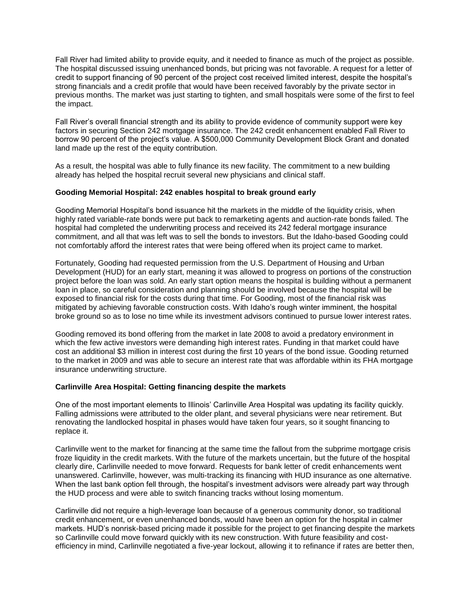Fall River had limited ability to provide equity, and it needed to finance as much of the project as possible. The hospital discussed issuing unenhanced bonds, but pricing was not favorable. A request for a letter of credit to support financing of 90 percent of the project cost received limited interest, despite the hospital's strong financials and a credit profile that would have been received favorably by the private sector in previous months. The market was just starting to tighten, and small hospitals were some of the first to feel the impact.

Fall River's overall financial strength and its ability to provide evidence of community support were key factors in securing Section 242 mortgage insurance. The 242 credit enhancement enabled Fall River to borrow 90 percent of the project's value. A \$500,000 Community Development Block Grant and donated land made up the rest of the equity contribution.

As a result, the hospital was able to fully finance its new facility. The commitment to a new building already has helped the hospital recruit several new physicians and clinical staff.

#### **Gooding Memorial Hospital: 242 enables hospital to break ground early**

Gooding Memorial Hospital's bond issuance hit the markets in the middle of the liquidity crisis, when highly rated variable-rate bonds were put back to remarketing agents and auction-rate bonds failed. The hospital had completed the underwriting process and received its 242 federal mortgage insurance commitment, and all that was left was to sell the bonds to investors. But the Idaho-based Gooding could not comfortably afford the interest rates that were being offered when its project came to market.

Fortunately, Gooding had requested permission from the U.S. Department of Housing and Urban Development (HUD) for an early start, meaning it was allowed to progress on portions of the construction project before the loan was sold. An early start option means the hospital is building without a permanent loan in place, so careful consideration and planning should be involved because the hospital will be exposed to financial risk for the costs during that time. For Gooding, most of the financial risk was mitigated by achieving favorable construction costs. With Idaho's rough winter imminent, the hospital broke ground so as to lose no time while its investment advisors continued to pursue lower interest rates.

Gooding removed its bond offering from the market in late 2008 to avoid a predatory environment in which the few active investors were demanding high interest rates. Funding in that market could have cost an additional \$3 million in interest cost during the first 10 years of the bond issue. Gooding returned to the market in 2009 and was able to secure an interest rate that was affordable within its FHA mortgage insurance underwriting structure.

#### **Carlinville Area Hospital: Getting financing despite the markets**

One of the most important elements to Illinois' Carlinville Area Hospital was updating its facility quickly. Falling admissions were attributed to the older plant, and several physicians were near retirement. But renovating the landlocked hospital in phases would have taken four years, so it sought financing to replace it.

Carlinville went to the market for financing at the same time the fallout from the subprime mortgage crisis froze liquidity in the credit markets. With the future of the markets uncertain, but the future of the hospital clearly dire, Carlinville needed to move forward. Requests for bank letter of credit enhancements went unanswered. Carlinville, however, was multi-tracking its financing with HUD insurance as one alternative. When the last bank option fell through, the hospital's investment advisors were already part way through the HUD process and were able to switch financing tracks without losing momentum.

Carlinville did not require a high-leverage loan because of a generous community donor, so traditional credit enhancement, or even unenhanced bonds, would have been an option for the hospital in calmer markets. HUD's nonrisk-based pricing made it possible for the project to get financing despite the markets so Carlinville could move forward quickly with its new construction. With future feasibility and costefficiency in mind, Carlinville negotiated a five-year lockout, allowing it to refinance if rates are better then,